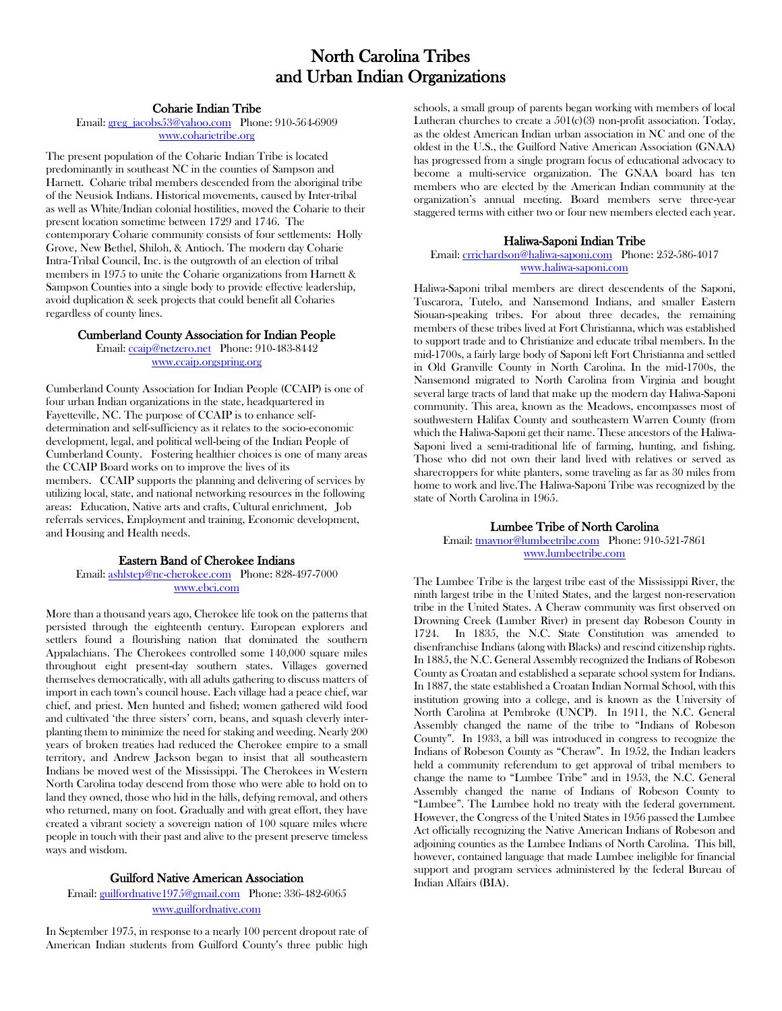# North Carolina Tribes and Urban Indian Organizations

## Coharie Indian Tribe

### Email: [greg\\_jacobs53@yahoo.com](mailto:greg_jacobs53@yahoo.com) Phone: 910-564-6909 [www.coharietribe.org](http://www.coharietribe.org/)

The present population of the Coharie Indian Tribe is located predominantly in southeast NC in the counties of Sampson and Harnett. Coharie tribal members descended from the aboriginal tribe of the Neusiok Indians. Historical movements, caused by Inter-tribal as well as White/Indian colonial hostilities, moved the Coharie to their present location sometime between 1729 and 1746. The contemporary Coharie community consists of four settlements: Holly Grove, New Bethel, Shiloh, & Antioch. The modern day Coharie Intra-Tribal Council, Inc. is the outgrowth of an election of tribal members in 1975 to unite the Coharie organizations from Harnett & Sampson Counties into a single body to provide effective leadership, avoid duplication & seek projects that could benefit all Coharies regardless of county lines.

## Cumberland County Association for Indian People

Email[: ccaip@netzero.net](mailto:ccaip@netzero.net) Phone: 910-483-8442 [www.ccaip.orgspring.org](http://www.ccaip.orgspring.org/)

Cumberland County Association for Indian People (CCAIP) is one of four urban Indian organizations in the state, headquartered in Fayetteville, NC. The purpose of CCAIP is to enhance selfdetermination and self-sufficiency as it relates to the socio-economic development, legal, and political well-being of the Indian People of Cumberland County. Fostering healthier choices is one of many areas the CCAIP Board works on to improve the lives of its members. CCAIP supports the planning and delivering of services by utilizing local, state, and national networking resources in the following areas: Education, Native arts and crafts, Cultural enrichment, Job referrals services, Employment and training, Economic development, and Housing and Health needs.

## Eastern Band of Cherokee Indians

Email: [ashlstep@nc-cherokee.com](mailto:ashlstep@nc-cherokee.com) Phone: 828-497-7000 [www.ebci.com](http://www.ebci.com/)

More than a thousand years ago, Cherokee life took on the patterns that persisted through the eighteenth century. European explorers and settlers found a flourishing nation that dominated the southern Appalachians. The Cherokees controlled some 140,000 square miles throughout eight present-day southern states. Villages governed themselves democratically, with all adults gathering to discuss matters of import in each town's council house. Each village had a peace chief, war chief, and priest. Men hunted and fished; women gathered wild food and cultivated 'the three sisters' corn, beans, and squash cleverly interplanting them to minimize the need for staking and weeding. Nearly 200 years of broken treaties had reduced the Cherokee empire to a small territory, and Andrew Jackson began to insist that all southeastern Indians be moved west of the Mississippi. The Cherokees in Western North Carolina today descend from those who were able to hold on to land they owned, those who hid in the hills, defying removal, and others who returned, many on foot. Gradually and with great effort, they have created a vibrant society a sovereign nation of 100 square miles where people in touch with their past and alive to the present preserve timeless ways and wisdom.

## Guilford Native American Association

Email: [guilfordnative1975@gmail.com](mailto:guilfordnative1975@gmail.com) Phone: 336-482-6065 [www.guilfordnative.com](http://www.guilfordnative.com/)

In September 1975, in response to a nearly 100 percent dropout rate of American Indian students from Guilford County's three public high

schools, a small group of parents began working with members of local Lutheran churches to create a  $501(c)(3)$  non-profit association. Today, as the oldest American Indian urban association in NC and one of the oldest in the U.S., the Guilford Native American Association (GNAA) has progressed from a single program focus of educational advocacy to become a multi-service organization. The GNAA board has ten members who are elected by the American Indian community at the organization's annual meeting. Board members serve three-year staggered terms with either two or four new members elected each year.

## Haliwa-Saponi Indian Tribe

### Email[: crrichardson@haliwa-saponi.com](mailto:crrichardson@haliwa-saponi.com) Phone: 252-586-4017 [www.haliwa-saponi.com](http://www.haliwa-saponi.com/)

Haliwa-Saponi tribal members are direct descendents of the Saponi, Tuscarora, Tutelo, and Nansemond Indians, and smaller Eastern Siouan-speaking tribes. For about three decades, the remaining members of these tribes lived at Fort Christianna, which was established to support trade and to Christianize and educate tribal members. In the mid-1700s, a fairly large body of Saponi left Fort Christianna and settled in Old Granville County in North Carolina. In the mid-1700s, the Nansemond migrated to North Carolina from Virginia and bought several large tracts of land that make up the modern day Haliwa-Saponi community. This area, known as the Meadows, encompasses most of southwestern Halifax County and southeastern Warren County (from which the Haliwa-Saponi get their name. These ancestors of the Haliwa-Saponi lived a semi-traditional life of farming, hunting, and fishing. Those who did not own their land lived with relatives or served as sharecroppers for white planters, some traveling as far as 30 miles from home to work and live.The Haliwa-Saponi Tribe was recognized by the state of North Carolina in 1965.

### Lumbee Tribe of North Carolina

Email[: tmaynor@lumbeetribe.com](mailto:tmaynor@lumbeetribe.com) Phone: 910-521-7861 [www.lumbeetribe.com](http://www.lumbeetribe.com/)

The Lumbee Tribe is the largest tribe east of the Mississippi River, the ninth largest tribe in the United States, and the largest non-reservation tribe in the United States. A Cheraw community was first observed on Drowning Creek (Lumber River) in present day Robeson County in 1724. In 1835, the N.C. State Constitution was amended to disenfranchise Indians (along with Blacks) and rescind citizenship rights. In 1885, the N.C. General Assembly recognized the Indians of Robeson County as Croatan and established a separate school system for Indians. In 1887, the state established a Croatan Indian Normal School, with this institution growing into a college, and is known as the University of North Carolina at Pembroke (UNCP). In 1911, the N.C. General Assembly changed the name of the tribe to "Indians of Robeson County". In 1933, a bill was introduced in congress to recognize the Indians of Robeson County as "Cheraw". In 1952, the Indian leaders held a community referendum to get approval of tribal members to change the name to "Lumbee Tribe" and in 1953, the N.C. General Assembly changed the name of Indians of Robeson County to "Lumbee". The Lumbee hold no treaty with the federal government. However, the Congress of the United States in 1956 passed the Lumbee Act officially recognizing the Native American Indians of Robeson and adjoining counties as the Lumbee Indians of North Carolina. This bill, however, contained language that made Lumbee ineligible for financial support and program services administered by the federal Bureau of Indian Affairs (BIA).